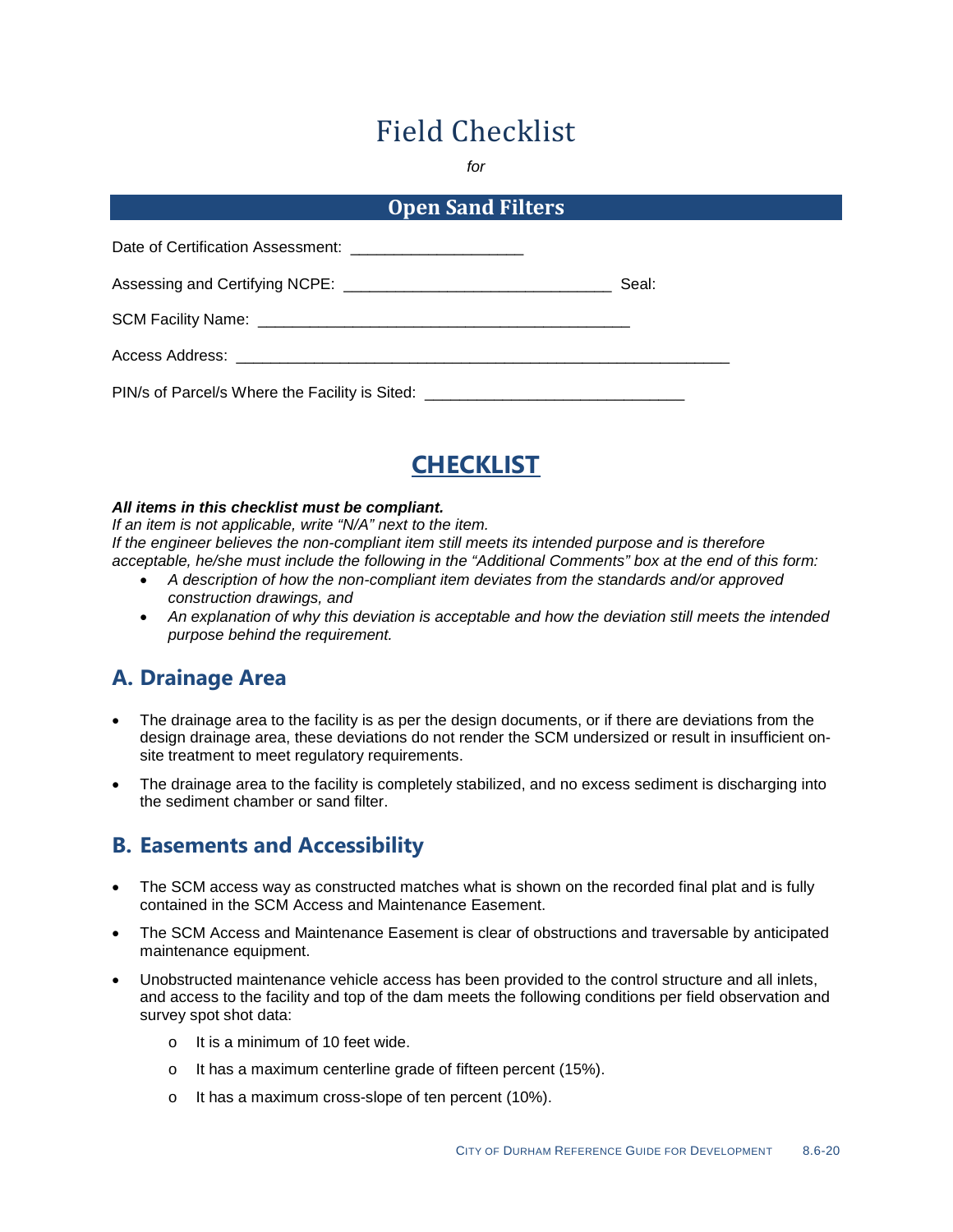# Field Checklist

*for*

#### **Open Sand Filters**

| Date of Certification Assessment: __________________________                     |       |
|----------------------------------------------------------------------------------|-------|
|                                                                                  | Seal: |
|                                                                                  |       |
|                                                                                  |       |
| PIN/s of Parcel/s Where the Facility is Sited: _________________________________ |       |



#### *All items in this checklist must be compliant.*

*If an item is not applicable, write "N/A" next to the item. If the engineer believes the non-compliant item still meets its intended purpose and is therefore acceptable, he/she must include the following in the "Additional Comments" box at the end of this form:*

- *A description of how the non-compliant item deviates from the standards and/or approved construction drawings, and*
- *An explanation of why this deviation is acceptable and how the deviation still meets the intended purpose behind the requirement.*

### **A. Drainage Area**

- The drainage area to the facility is as per the design documents, or if there are deviations from the design drainage area, these deviations do not render the SCM undersized or result in insufficient onsite treatment to meet regulatory requirements.
- The drainage area to the facility is completely stabilized, and no excess sediment is discharging into the sediment chamber or sand filter.

### **B. Easements and Accessibility**

- The SCM access way as constructed matches what is shown on the recorded final plat and is fully contained in the SCM Access and Maintenance Easement.
- The SCM Access and Maintenance Easement is clear of obstructions and traversable by anticipated maintenance equipment.
- Unobstructed maintenance vehicle access has been provided to the control structure and all inlets, and access to the facility and top of the dam meets the following conditions per field observation and survey spot shot data:
	- o It is a minimum of 10 feet wide.
	- o It has a maximum centerline grade of fifteen percent (15%).
	- o It has a maximum cross-slope of ten percent (10%).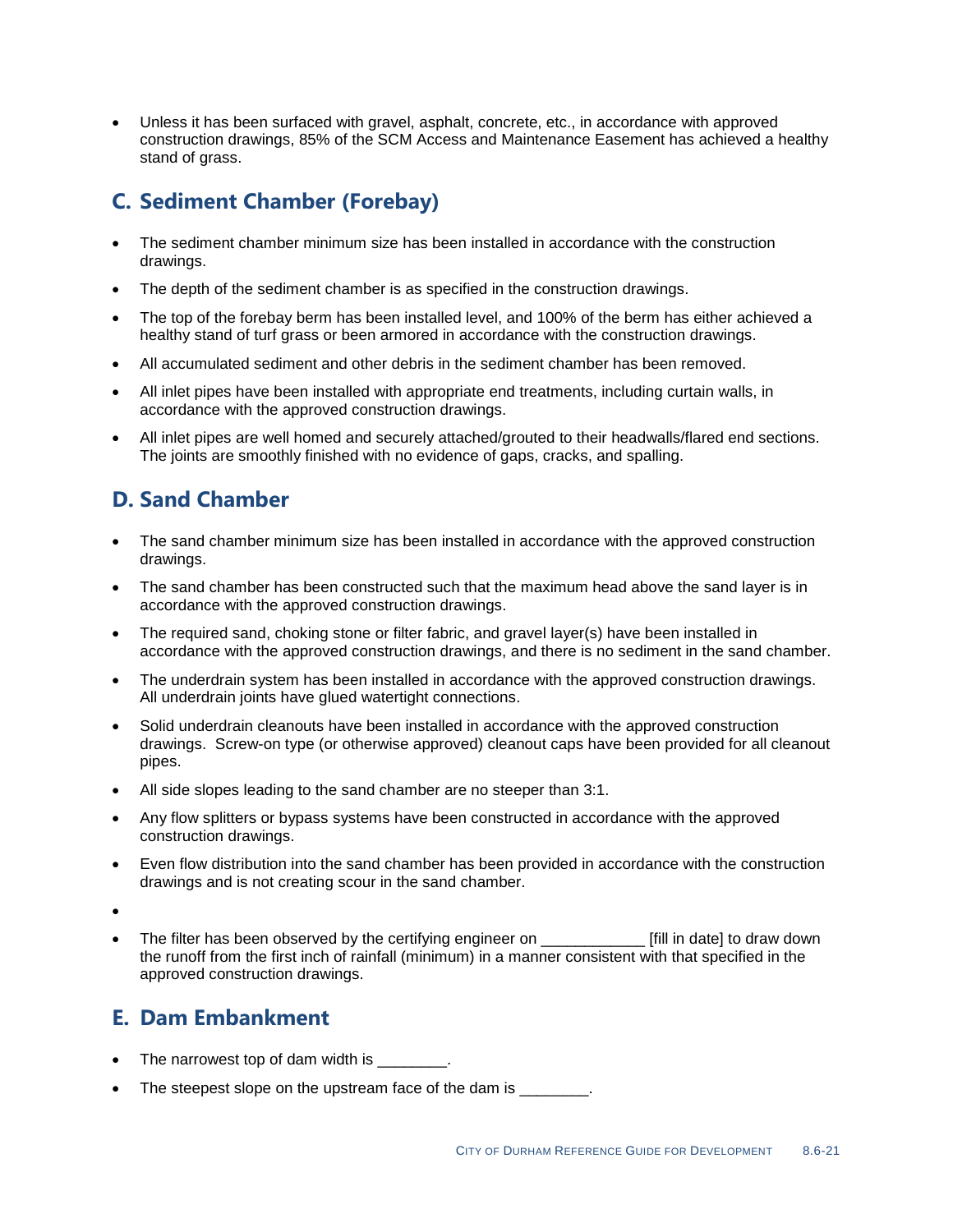• Unless it has been surfaced with gravel, asphalt, concrete, etc., in accordance with approved construction drawings, 85% of the SCM Access and Maintenance Easement has achieved a healthy stand of grass.

## **C. Sediment Chamber (Forebay)**

- The sediment chamber minimum size has been installed in accordance with the construction drawings.
- The depth of the sediment chamber is as specified in the construction drawings.
- The top of the forebay berm has been installed level, and 100% of the berm has either achieved a healthy stand of turf grass or been armored in accordance with the construction drawings.
- All accumulated sediment and other debris in the sediment chamber has been removed.
- All inlet pipes have been installed with appropriate end treatments, including curtain walls, in accordance with the approved construction drawings.
- All inlet pipes are well homed and securely attached/grouted to their headwalls/flared end sections. The joints are smoothly finished with no evidence of gaps, cracks, and spalling.

# **D. Sand Chamber**

- The sand chamber minimum size has been installed in accordance with the approved construction drawings.
- The sand chamber has been constructed such that the maximum head above the sand layer is in accordance with the approved construction drawings.
- The required sand, choking stone or filter fabric, and gravel layer(s) have been installed in accordance with the approved construction drawings, and there is no sediment in the sand chamber.
- The underdrain system has been installed in accordance with the approved construction drawings. All underdrain joints have glued watertight connections.
- Solid underdrain cleanouts have been installed in accordance with the approved construction drawings. Screw-on type (or otherwise approved) cleanout caps have been provided for all cleanout pipes.
- All side slopes leading to the sand chamber are no steeper than 3:1.
- Any flow splitters or bypass systems have been constructed in accordance with the approved construction drawings.
- Even flow distribution into the sand chamber has been provided in accordance with the construction drawings and is not creating scour in the sand chamber.
- •
- The filter has been observed by the certifying engineer on **Fill** in date to draw down the runoff from the first inch of rainfall (minimum) in a manner consistent with that specified in the approved construction drawings.

### **E. Dam Embankment**

- The narrowest top of dam width is  $\qquad \qquad$ .
- The steepest slope on the upstream face of the dam is  $\qquad \qquad$ .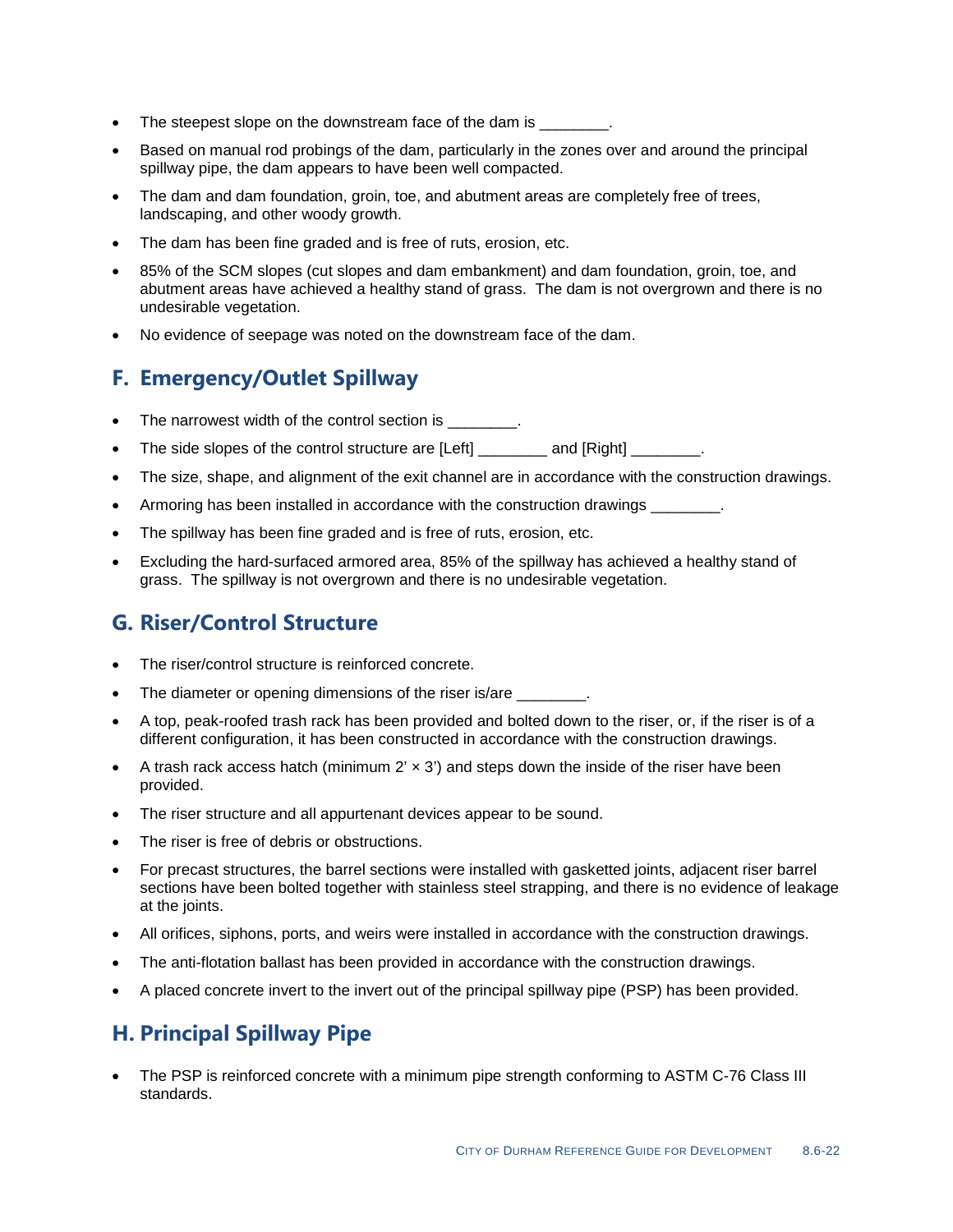- The steepest slope on the downstream face of the dam is  $\qquad \qquad$ .
- Based on manual rod probings of the dam, particularly in the zones over and around the principal spillway pipe, the dam appears to have been well compacted.
- The dam and dam foundation, groin, toe, and abutment areas are completely free of trees, landscaping, and other woody growth.
- The dam has been fine graded and is free of ruts, erosion, etc.
- 85% of the SCM slopes (cut slopes and dam embankment) and dam foundation, groin, toe, and abutment areas have achieved a healthy stand of grass. The dam is not overgrown and there is no undesirable vegetation.
- No evidence of seepage was noted on the downstream face of the dam.

### **F. Emergency/Outlet Spillway**

- The narrowest width of the control section is  $\qquad \qquad$ .
- The side slopes of the control structure are [Left] and [Right]  $\qquad \qquad$ .
- The size, shape, and alignment of the exit channel are in accordance with the construction drawings.
- Armoring has been installed in accordance with the construction drawings
- The spillway has been fine graded and is free of ruts, erosion, etc.
- Excluding the hard-surfaced armored area, 85% of the spillway has achieved a healthy stand of grass. The spillway is not overgrown and there is no undesirable vegetation.

### **G. Riser/Control Structure**

- The riser/control structure is reinforced concrete.
- The diameter or opening dimensions of the riser is/are \_\_\_\_\_\_\_\_.
- A top, peak-roofed trash rack has been provided and bolted down to the riser, or, if the riser is of a different configuration, it has been constructed in accordance with the construction drawings.
- A trash rack access hatch (minimum  $2' \times 3'$ ) and steps down the inside of the riser have been provided.
- The riser structure and all appurtenant devices appear to be sound.
- The riser is free of debris or obstructions.
- For precast structures, the barrel sections were installed with gasketted joints, adjacent riser barrel sections have been bolted together with stainless steel strapping, and there is no evidence of leakage at the joints.
- All orifices, siphons, ports, and weirs were installed in accordance with the construction drawings.
- The anti-flotation ballast has been provided in accordance with the construction drawings.
- A placed concrete invert to the invert out of the principal spillway pipe (PSP) has been provided.

### **H. Principal Spillway Pipe**

• The PSP is reinforced concrete with a minimum pipe strength conforming to ASTM C-76 Class III standards.